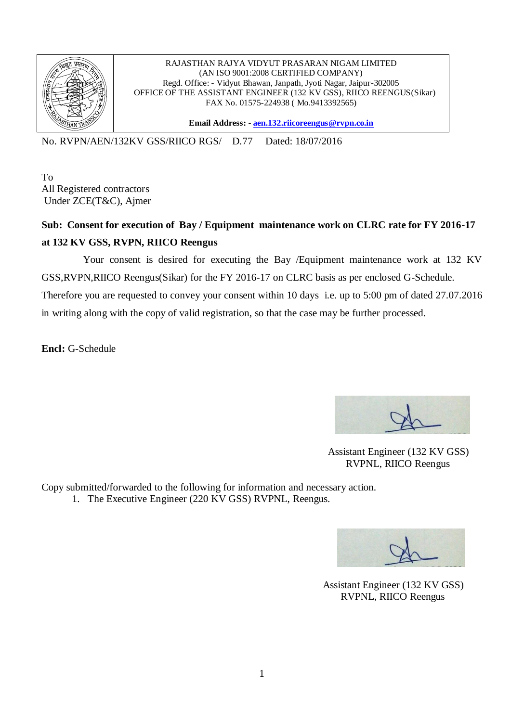

RAJASTHAN RAJYA VIDYUT PRASARAN NIGAM LIMITED (AN ISO 9001:2008 CERTIFIED COMPANY) Regd. Office: - Vidyut Bhawan, Janpath, Jyoti Nagar, Jaipur-302005 OFFICE OF THE ASSISTANT ENGINEER (132 KV GSS), RIICO REENGUS(Sikar) FAX No. 01575-224938 ( Mo.9413392565)

**Email Address: - [aen.132.riicoreengus@rvpn.co.in](mailto:aen.132.riicoreengus@rvpn.co.in)**

No. RVPN/AEN/132KV GSS/RIICO RGS/ D.77 Dated: 18/07/2016

To All Registered contractors Under ZCE(T&C), Ajmer

## **Sub: Consent for execution of Bay / Equipment maintenance work on CLRC rate for FY 2016-17 at 132 KV GSS, RVPN, RIICO Reengus**

 Your consent is desired for executing the Bay /Equipment maintenance work at 132 KV GSS,RVPN,RIICO Reengus(Sikar) for the FY 2016-17 on CLRC basis as per enclosed G-Schedule.

Therefore you are requested to convey your consent within 10 days i.e. up to 5:00 pm of dated 27.07.2016 in writing along with the copy of valid registration, so that the case may be further processed.

**Encl:** G-Schedule

 Assistant Engineer (132 KV GSS) RVPNL, RIICO Reengus

Copy submitted/forwarded to the following for information and necessary action. 1. The Executive Engineer (220 KV GSS) RVPNL, Reengus.

 Assistant Engineer (132 KV GSS) RVPNL, RIICO Reengus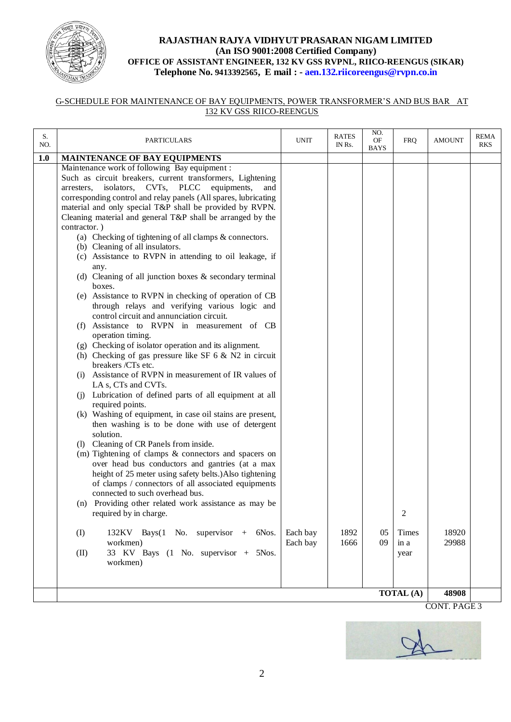

## **RAJASTHAN RAJYA VIDHYUT PRASARAN NIGAM LIMITED (An ISO 9001:2008 Certified Company) OFFICE OF ASSISTANT ENGINEER, 132 KV GSS RVPNL, RIICO-REENGUS (SIKAR) Telephone No. 9413392565, E mail : - aen.132.riicoreengus@rvpn.co.in**

## G-SCHEDULE FOR MAINTENANCE OF BAY EQUIPMENTS, POWER TRANSFORMER'S AND BUS BAR AT 132 KV GSS RIICO-REENGUS

| S.<br>NO. | <b>PARTICULARS</b>                                                                                                                                                                                                                                                                                                                                                                 | <b>UNIT</b>          | <b>RATES</b><br>IN Rs. | NO.<br>OF<br><b>BAYS</b> | <b>FRQ</b>       | <b>AMOUNT</b>  | <b>REMA</b><br><b>RKS</b> |
|-----------|------------------------------------------------------------------------------------------------------------------------------------------------------------------------------------------------------------------------------------------------------------------------------------------------------------------------------------------------------------------------------------|----------------------|------------------------|--------------------------|------------------|----------------|---------------------------|
| 1.0       | <b>MAINTENANCE OF BAY EQUIPMENTS</b>                                                                                                                                                                                                                                                                                                                                               |                      |                        |                          |                  |                |                           |
|           | Maintenance work of following Bay equipment :<br>Such as circuit breakers, current transformers, Lightening<br>arresters, isolators, CVTs, PLCC equipments,<br>and<br>corresponding control and relay panels (All spares, lubricating<br>material and only special T&P shall be provided by RVPN.<br>Cleaning material and general $T\&P$ shall be arranged by the<br>contractor.) |                      |                        |                          |                  |                |                           |
|           | (a) Checking of tightening of all clamps $& \text{connectors.}$<br>(b) Cleaning of all insulators.<br>(c) Assistance to RVPN in attending to oil leakage, if<br>any.<br>(d) Cleaning of all junction boxes $\&$ secondary terminal<br>boxes.                                                                                                                                       |                      |                        |                          |                  |                |                           |
|           | (e) Assistance to RVPN in checking of operation of CB<br>through relays and verifying various logic and<br>control circuit and annunciation circuit.<br>(f) Assistance to RVPN in measurement of CB                                                                                                                                                                                |                      |                        |                          |                  |                |                           |
|           | operation timing.<br>(g) Checking of isolator operation and its alignment.                                                                                                                                                                                                                                                                                                         |                      |                        |                          |                  |                |                           |
|           | (h) Checking of gas pressure like SF $6 \& N2$ in circuit<br>breakers /CTs etc.                                                                                                                                                                                                                                                                                                    |                      |                        |                          |                  |                |                           |
|           | (i) Assistance of RVPN in measurement of IR values of<br>LA s, CTs and CVTs.                                                                                                                                                                                                                                                                                                       |                      |                        |                          |                  |                |                           |
|           | (i) Lubrication of defined parts of all equipment at all<br>required points.                                                                                                                                                                                                                                                                                                       |                      |                        |                          |                  |                |                           |
|           | (k) Washing of equipment, in case oil stains are present,<br>then washing is to be done with use of detergent<br>solution.                                                                                                                                                                                                                                                         |                      |                        |                          |                  |                |                           |
|           | (l) Cleaning of CR Panels from inside.                                                                                                                                                                                                                                                                                                                                             |                      |                        |                          |                  |                |                           |
|           | (m) Tightening of clamps & connectors and spacers on<br>over head bus conductors and gantries (at a max<br>height of 25 meter using safety belts.) Also tightening<br>of clamps / connectors of all associated equipments<br>connected to such overhead bus.                                                                                                                       |                      |                        |                          |                  |                |                           |
|           | (n) Providing other related work assistance as may be<br>required by in charge.                                                                                                                                                                                                                                                                                                    |                      |                        |                          | $\mathcal{D}$    |                |                           |
|           | (I)<br>$132KV$ Bays(1 No. supervisor + 6Nos.<br>workmen)                                                                                                                                                                                                                                                                                                                           | Each bay<br>Each bay | 1892<br>1666           | 05<br>09                 | Times<br>in a    | 18920<br>29988 |                           |
|           | 33 KV Bays (1 No. supervisor + 5Nos.<br>(II)<br>workmen)                                                                                                                                                                                                                                                                                                                           |                      |                        |                          | year             |                |                           |
|           |                                                                                                                                                                                                                                                                                                                                                                                    |                      |                        |                          | <b>TOTAL</b> (A) | 48908          |                           |
|           |                                                                                                                                                                                                                                                                                                                                                                                    |                      |                        |                          |                  |                |                           |

CONT. PAGE 3

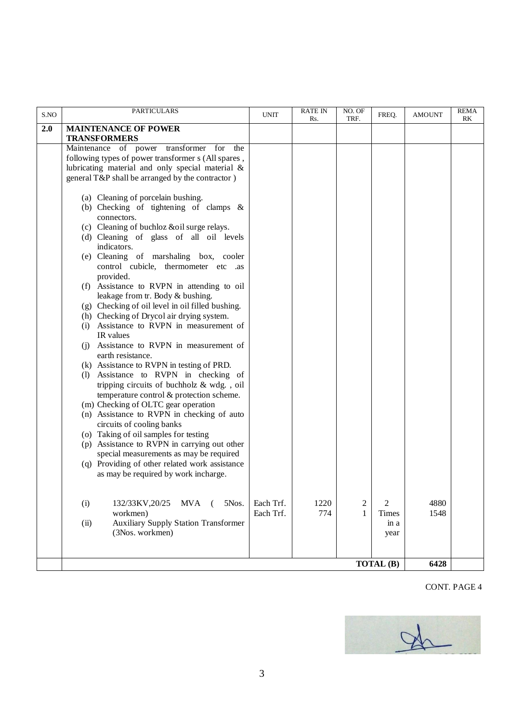| S.NO | <b>PARTICULARS</b>                                                                | <b>UNIT</b> | <b>RATE IN</b><br>Rs. | NO. OF<br>TRF. | FREQ.     | <b>AMOUNT</b> | <b>REMA</b><br>RK |
|------|-----------------------------------------------------------------------------------|-------------|-----------------------|----------------|-----------|---------------|-------------------|
| 2.0  | <b>MAINTENANCE OF POWER</b>                                                       |             |                       |                |           |               |                   |
|      | <b>TRANSFORMERS</b>                                                               |             |                       |                |           |               |                   |
|      | Maintenance of power transformer for<br>the                                       |             |                       |                |           |               |                   |
|      | following types of power transformer s (All spares,                               |             |                       |                |           |               |                   |
|      | lubricating material and only special material &                                  |             |                       |                |           |               |                   |
|      | general T&P shall be arranged by the contractor)                                  |             |                       |                |           |               |                   |
|      |                                                                                   |             |                       |                |           |               |                   |
|      | (a) Cleaning of porcelain bushing.                                                |             |                       |                |           |               |                   |
|      | (b) Checking of tightening of clamps $\&$                                         |             |                       |                |           |               |                   |
|      | connectors.                                                                       |             |                       |                |           |               |                   |
|      | (c) Cleaning of buchloz &oil surge relays.                                        |             |                       |                |           |               |                   |
|      | (d) Cleaning of glass of all oil levels                                           |             |                       |                |           |               |                   |
|      | indicators.                                                                       |             |                       |                |           |               |                   |
|      | (e) Cleaning of marshaling box, cooler                                            |             |                       |                |           |               |                   |
|      | control cubicle, thermometer etc .as<br>provided.                                 |             |                       |                |           |               |                   |
|      | (f) Assistance to RVPN in attending to oil                                        |             |                       |                |           |               |                   |
|      | leakage from tr. Body & bushing.                                                  |             |                       |                |           |               |                   |
|      | (g) Checking of oil level in oil filled bushing.                                  |             |                       |                |           |               |                   |
|      | (h) Checking of Drycol air drying system.                                         |             |                       |                |           |               |                   |
|      | (i) Assistance to RVPN in measurement of                                          |             |                       |                |           |               |                   |
|      | IR values                                                                         |             |                       |                |           |               |                   |
|      | (j) Assistance to RVPN in measurement of                                          |             |                       |                |           |               |                   |
|      | earth resistance.                                                                 |             |                       |                |           |               |                   |
|      | (k) Assistance to RVPN in testing of PRD.                                         |             |                       |                |           |               |                   |
|      | (l) Assistance to RVPN in checking of                                             |             |                       |                |           |               |                   |
|      | tripping circuits of buchholz & wdg., oil                                         |             |                       |                |           |               |                   |
|      | temperature control & protection scheme.                                          |             |                       |                |           |               |                   |
|      | (m) Checking of OLTC gear operation<br>(n) Assistance to RVPN in checking of auto |             |                       |                |           |               |                   |
|      | circuits of cooling banks                                                         |             |                       |                |           |               |                   |
|      | (o) Taking of oil samples for testing                                             |             |                       |                |           |               |                   |
|      | (p) Assistance to RVPN in carrying out other                                      |             |                       |                |           |               |                   |
|      | special measurements as may be required                                           |             |                       |                |           |               |                   |
|      | (q) Providing of other related work assistance                                    |             |                       |                |           |               |                   |
|      | as may be required by work incharge.                                              |             |                       |                |           |               |                   |
|      |                                                                                   |             |                       |                |           |               |                   |
|      |                                                                                   |             |                       |                |           |               |                   |
|      | (i)<br>132/33KV, 20/25 MVA<br>5Nos.<br>(                                          | Each Trf.   | 1220                  | 2              | 2         | 4880          |                   |
|      | workmen)                                                                          | Each Trf.   | 774                   | 1              | Times     | 1548          |                   |
|      | <b>Auxiliary Supply Station Transformer</b><br>(ii)<br>(3Nos. workmen)            |             |                       |                | in a      |               |                   |
|      |                                                                                   |             |                       |                | year      |               |                   |
|      |                                                                                   |             |                       |                |           |               |                   |
|      |                                                                                   |             |                       |                | TOTAL (B) | 6428          |                   |

## CONT. PAGE 4